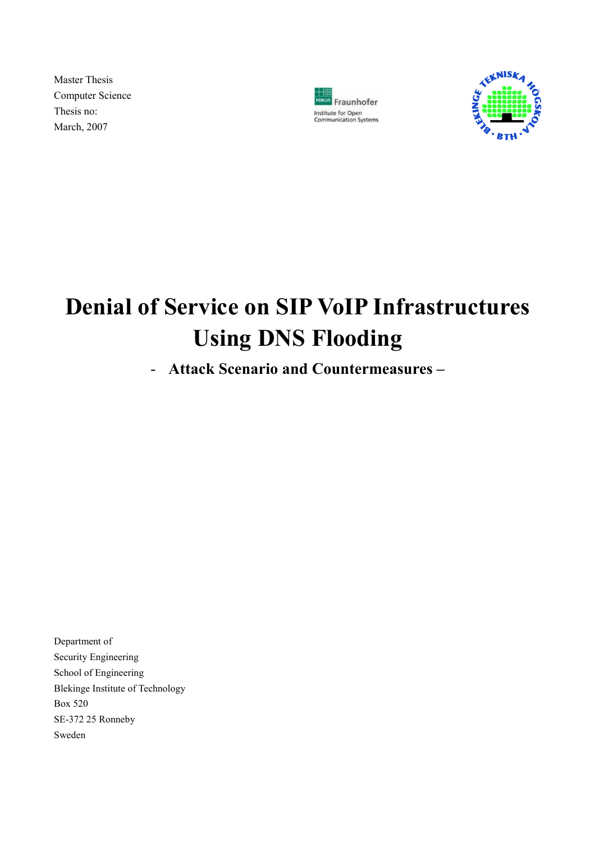Master Thesis Computer Science Thesis no: March, 2007





# Denial of Service on SIP VoIP Infrastructures Using DNS Flooding

# - Attack Scenario and Countermeasures –

Department of Security Engineering School of Engineering Blekinge Institute of Technology Box 520 SE-372 25 Ronneby Sweden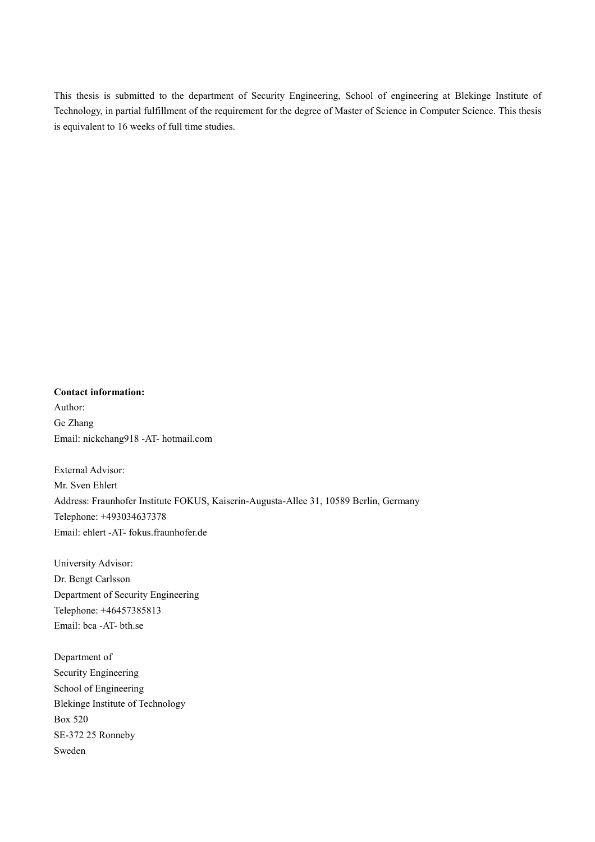This thesis is submitted to the department of Security Engineering, School of engineering at Blekinge Institute of Technology, in partial fulfillment of the requirement for the degree of Master of Science in Computer Science. This thesis is equivalent to 16 weeks of full time studies.

Contact information: Author: Ge Zhang Email: nickchang918 -AT- hotmail.com

External Advisor: Mr. Sven Ehlert Address: Fraunhofer Institute FOKUS, Kaiserin-Augusta-Allee 31, 10589 Berlin, Germany Telephone: +493034637378 Email: ehlert -AT- fokus fraunhofer de

University Advisor: Dr. Bengt Carlsson Department of Security Engineering Telephone: +46457385813 Email: bca -AT- bth.se

Department of Security Engineering School of Engineering Blekinge Institute of Technology Box 520 SE-372 25 Ronneby Sweden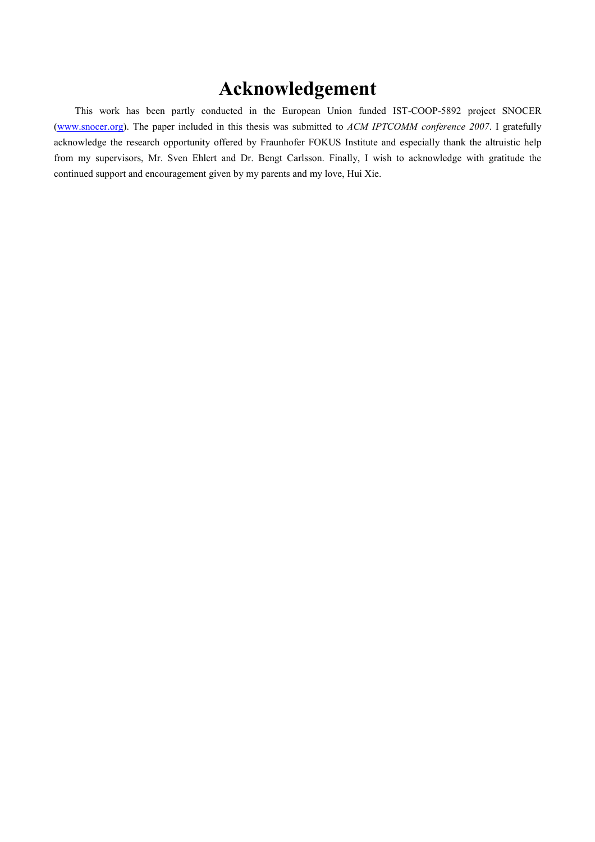# Acknowledgement

This work has been partly conducted in the European Union funded IST-COOP-5892 project SNOCER (www.snocer.org). The paper included in this thesis was submitted to ACM IPTCOMM conference 2007. I gratefully acknowledge the research opportunity offered by Fraunhofer FOKUS Institute and especially thank the altruistic help from my supervisors, Mr. Sven Ehlert and Dr. Bengt Carlsson. Finally, I wish to acknowledge with gratitude the continued support and encouragement given by my parents and my love, Hui Xie.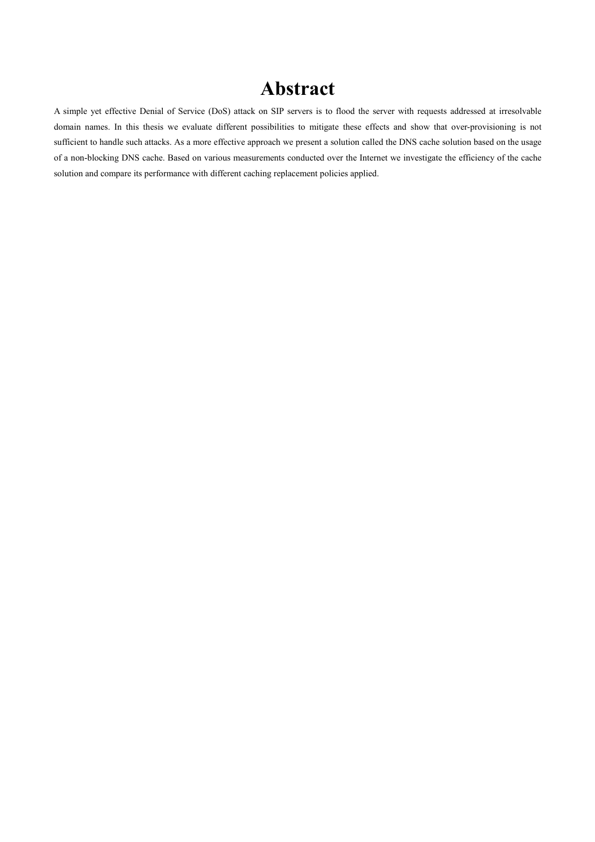# Abstract

A simple yet effective Denial of Service (DoS) attack on SIP servers is to flood the server with requests addressed at irresolvable domain names. In this thesis we evaluate different possibilities to mitigate these effects and show that over-provisioning is not sufficient to handle such attacks. As a more effective approach we present a solution called the DNS cache solution based on the usage of a non-blocking DNS cache. Based on various measurements conducted over the Internet we investigate the efficiency of the cache solution and compare its performance with different caching replacement policies applied.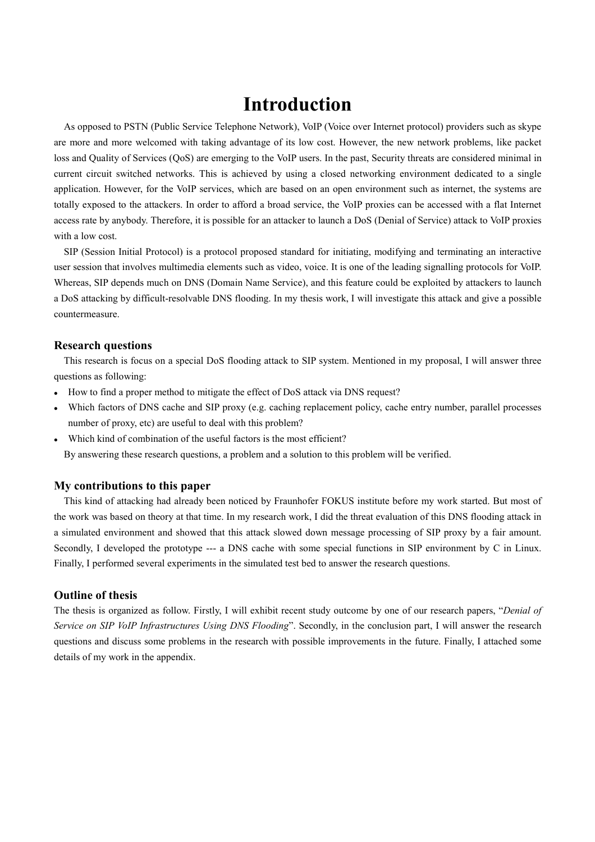## Introduction

As opposed to PSTN (Public Service Telephone Network), VoIP (Voice over Internet protocol) providers such as skype are more and more welcomed with taking advantage of its low cost. However, the new network problems, like packet loss and Quality of Services (QoS) are emerging to the VoIP users. In the past, Security threats are considered minimal in current circuit switched networks. This is achieved by using a closed networking environment dedicated to a single application. However, for the VoIP services, which are based on an open environment such as internet, the systems are totally exposed to the attackers. In order to afford a broad service, the VoIP proxies can be accessed with a flat Internet access rate by anybody. Therefore, it is possible for an attacker to launch a DoS (Denial of Service) attack to VoIP proxies with a low cost.

SIP (Session Initial Protocol) is a protocol proposed standard for initiating, modifying and terminating an interactive user session that involves multimedia elements such as video, voice. It is one of the leading signalling protocols for VoIP. Whereas, SIP depends much on DNS (Domain Name Service), and this feature could be exploited by attackers to launch a DoS attacking by difficult-resolvable DNS flooding. In my thesis work, I will investigate this attack and give a possible countermeasure.

#### Research questions

This research is focus on a special DoS flooding attack to SIP system. Mentioned in my proposal, I will answer three questions as following:

- How to find a proper method to mitigate the effect of DoS attack via DNS request?
- Which factors of DNS cache and SIP proxy (e.g. caching replacement policy, cache entry number, parallel processes number of proxy, etc) are useful to deal with this problem?
- Which kind of combination of the useful factors is the most efficient? By answering these research questions, a problem and a solution to this problem will be verified.

#### My contributions to this paper

This kind of attacking had already been noticed by Fraunhofer FOKUS institute before my work started. But most of the work was based on theory at that time. In my research work, I did the threat evaluation of this DNS flooding attack in a simulated environment and showed that this attack slowed down message processing of SIP proxy by a fair amount. Secondly, I developed the prototype --- a DNS cache with some special functions in SIP environment by C in Linux. Finally, I performed several experiments in the simulated test bed to answer the research questions.

#### Outline of thesis

The thesis is organized as follow. Firstly, I will exhibit recent study outcome by one of our research papers, "Denial of Service on SIP VoIP Infrastructures Using DNS Flooding". Secondly, in the conclusion part, I will answer the research questions and discuss some problems in the research with possible improvements in the future. Finally, I attached some details of my work in the appendix.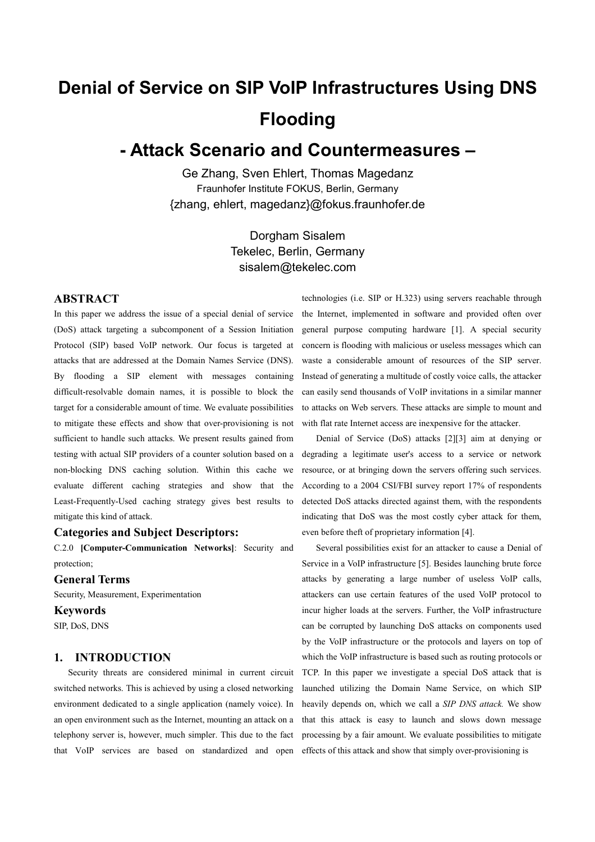# Denial of Service on SIP VoIP Infrastructures Using DNS Flooding

### - Attack Scenario and Countermeasures –

Ge Zhang, Sven Ehlert, Thomas Magedanz Fraunhofer Institute FOKUS, Berlin, Germany {zhang, ehlert, magedanz}@fokus.fraunhofer.de

> Dorgham Sisalem Tekelec, Berlin, Germany sisalem@tekelec.com

#### ABSTRACT

In this paper we address the issue of a special denial of service (DoS) attack targeting a subcomponent of a Session Initiation Protocol (SIP) based VoIP network. Our focus is targeted at attacks that are addressed at the Domain Names Service (DNS). By flooding a SIP element with messages containing difficult-resolvable domain names, it is possible to block the target for a considerable amount of time. We evaluate possibilities to mitigate these effects and show that over-provisioning is not sufficient to handle such attacks. We present results gained from testing with actual SIP providers of a counter solution based on a non-blocking DNS caching solution. Within this cache we evaluate different caching strategies and show that the Least-Frequently-Used caching strategy gives best results to mitigate this kind of attack.

#### Categories and Subject Descriptors:

C.2.0 [Computer-Communication Networks]: Security and protection;

#### General Terms

Security, Measurement, Experimentation

### Keywords

SIP, DoS, DNS

#### 1. INTRODUCTION

Security threats are considered minimal in current circuit switched networks. This is achieved by using a closed networking environment dedicated to a single application (namely voice). In an open environment such as the Internet, mounting an attack on a telephony server is, however, much simpler. This due to the fact that VoIP services are based on standardized and open

technologies (i.e. SIP or H.323) using servers reachable through the Internet, implemented in software and provided often over general purpose computing hardware [1]. A special security concern is flooding with malicious or useless messages which can waste a considerable amount of resources of the SIP server. Instead of generating a multitude of costly voice calls, the attacker can easily send thousands of VoIP invitations in a similar manner to attacks on Web servers. These attacks are simple to mount and with flat rate Internet access are inexpensive for the attacker.

Denial of Service (DoS) attacks [2][3] aim at denying or degrading a legitimate user's access to a service or network resource, or at bringing down the servers offering such services. According to a 2004 CSI/FBI survey report 17% of respondents detected DoS attacks directed against them, with the respondents indicating that DoS was the most costly cyber attack for them, even before theft of proprietary information [4].

Several possibilities exist for an attacker to cause a Denial of Service in a VoIP infrastructure [5]. Besides launching brute force attacks by generating a large number of useless VoIP calls, attackers can use certain features of the used VoIP protocol to incur higher loads at the servers. Further, the VoIP infrastructure can be corrupted by launching DoS attacks on components used by the VoIP infrastructure or the protocols and layers on top of which the VoIP infrastructure is based such as routing protocols or TCP. In this paper we investigate a special DoS attack that is launched utilizing the Domain Name Service, on which SIP heavily depends on, which we call a SIP DNS attack. We show that this attack is easy to launch and slows down message processing by a fair amount. We evaluate possibilities to mitigate effects of this attack and show that simply over-provisioning is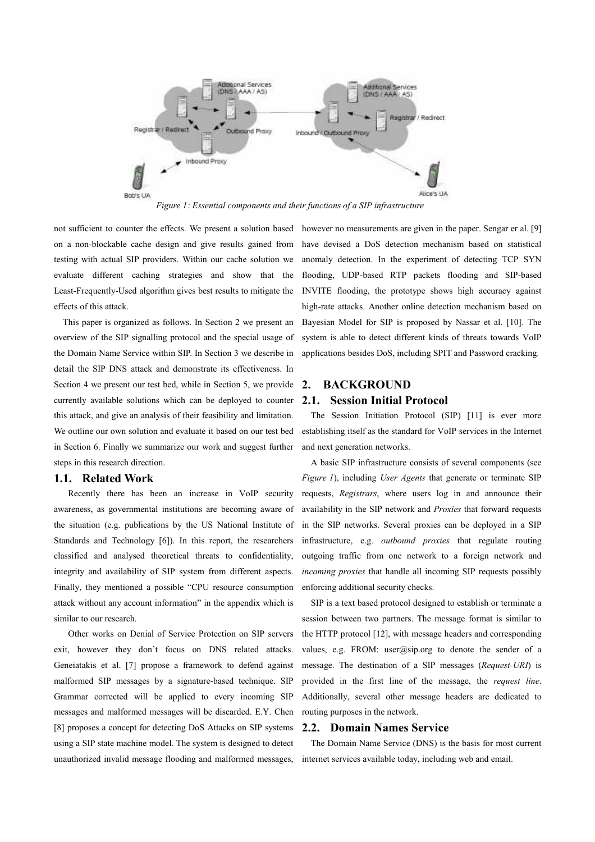

Figure 1: Essential components and their functions of a SIP infrastructure

not sufficient to counter the effects. We present a solution based however no measurements are given in the paper. Sengar er al. [9] on a non-blockable cache design and give results gained from testing with actual SIP providers. Within our cache solution we evaluate different caching strategies and show that the Least-Frequently-Used algorithm gives best results to mitigate the effects of this attack.

This paper is organized as follows. In Section 2 we present an overview of the SIP signalling protocol and the special usage of the Domain Name Service within SIP. In Section 3 we describe in detail the SIP DNS attack and demonstrate its effectiveness. In Section 4 we present our test bed, while in Section 5, we provide currently available solutions which can be deployed to counter this attack, and give an analysis of their feasibility and limitation. We outline our own solution and evaluate it based on our test bed in Section 6. Finally we summarize our work and suggest further steps in this research direction.

#### 1.1. Related Work

Recently there has been an increase in VoIP security awareness, as governmental institutions are becoming aware of the situation (e.g. publications by the US National Institute of Standards and Technology [6]). In this report, the researchers classified and analysed theoretical threats to confidentiality, integrity and availability of SIP system from different aspects. Finally, they mentioned a possible "CPU resource consumption attack without any account information" in the appendix which is similar to our research.

Other works on Denial of Service Protection on SIP servers exit, however they don't focus on DNS related attacks. Geneiatakis et al. [7] propose a framework to defend against malformed SIP messages by a signature-based technique. SIP Grammar corrected will be applied to every incoming SIP messages and malformed messages will be discarded. E.Y. Chen [8] proposes a concept for detecting DoS Attacks on SIP systems using a SIP state machine model. The system is designed to detect unauthorized invalid message flooding and malformed messages,

have devised a DoS detection mechanism based on statistical anomaly detection. In the experiment of detecting TCP SYN flooding, UDP-based RTP packets flooding and SIP-based INVITE flooding, the prototype shows high accuracy against high-rate attacks. Another online detection mechanism based on Bayesian Model for SIP is proposed by Nassar et al. [10]. The system is able to detect different kinds of threats towards VoIP applications besides DoS, including SPIT and Password cracking.

#### 2. BACKGROUND 2.1. Session Initial Protocol

The Session Initiation Protocol (SIP) [11] is ever more establishing itself as the standard for VoIP services in the Internet and next generation networks.

A basic SIP infrastructure consists of several components (see Figure 1), including User Agents that generate or terminate SIP requests, Registrars, where users log in and announce their availability in the SIP network and Proxies that forward requests in the SIP networks. Several proxies can be deployed in a SIP infrastructure, e.g. outbound proxies that regulate routing outgoing traffic from one network to a foreign network and incoming proxies that handle all incoming SIP requests possibly enforcing additional security checks.

SIP is a text based protocol designed to establish or terminate a session between two partners. The message format is similar to the HTTP protocol [12], with message headers and corresponding values, e.g. FROM: user@sip.org to denote the sender of a message. The destination of a SIP messages (Request-URI) is provided in the first line of the message, the request line. Additionally, several other message headers are dedicated to routing purposes in the network.

#### 2.2. Domain Names Service

The Domain Name Service (DNS) is the basis for most current internet services available today, including web and email.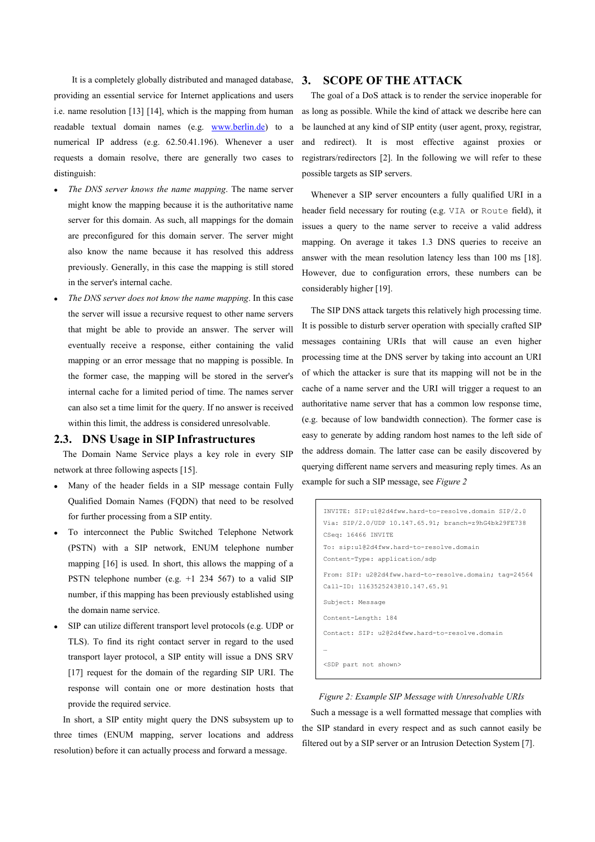It is a completely globally distributed and managed database, providing an essential service for Internet applications and users i.e. name resolution [13] [14], which is the mapping from human readable textual domain names (e.g. www.berlin.de) to a numerical IP address (e.g. 62.50.41.196). Whenever a user requests a domain resolve, there are generally two cases to distinguish:

- The DNS server knows the name mapping. The name server might know the mapping because it is the authoritative name server for this domain. As such, all mappings for the domain are preconfigured for this domain server. The server might also know the name because it has resolved this address previously. Generally, in this case the mapping is still stored in the server's internal cache.
- The DNS server does not know the name mapping. In this case the server will issue a recursive request to other name servers that might be able to provide an answer. The server will eventually receive a response, either containing the valid mapping or an error message that no mapping is possible. In the former case, the mapping will be stored in the server's internal cache for a limited period of time. The names server can also set a time limit for the query. If no answer is received within this limit, the address is considered unresolvable.

#### 2.3. DNS Usage in SIP Infrastructures

The Domain Name Service plays a key role in every SIP network at three following aspects [15].

- Many of the header fields in a SIP message contain Fully Qualified Domain Names (FQDN) that need to be resolved for further processing from a SIP entity.
- To interconnect the Public Switched Telephone Network (PSTN) with a SIP network, ENUM telephone number mapping [16] is used. In short, this allows the mapping of a PSTN telephone number (e.g. +1 234 567) to a valid SIP number, if this mapping has been previously established using the domain name service.
- SIP can utilize different transport level protocols (e.g. UDP or TLS). To find its right contact server in regard to the used transport layer protocol, a SIP entity will issue a DNS SRV [17] request for the domain of the regarding SIP URI. The response will contain one or more destination hosts that provide the required service.

In short, a SIP entity might query the DNS subsystem up to three times (ENUM mapping, server locations and address resolution) before it can actually process and forward a message.

#### 3. SCOPE OF THE ATTACK

The goal of a DoS attack is to render the service inoperable for as long as possible. While the kind of attack we describe here can be launched at any kind of SIP entity (user agent, proxy, registrar, and redirect). It is most effective against proxies or registrars/redirectors [2]. In the following we will refer to these possible targets as SIP servers.

Whenever a SIP server encounters a fully qualified URI in a header field necessary for routing (e.g. VIA or Route field), it issues a query to the name server to receive a valid address mapping. On average it takes 1.3 DNS queries to receive an answer with the mean resolution latency less than 100 ms [18]. However, due to configuration errors, these numbers can be considerably higher [19].

The SIP DNS attack targets this relatively high processing time. It is possible to disturb server operation with specially crafted SIP messages containing URIs that will cause an even higher processing time at the DNS server by taking into account an URI of which the attacker is sure that its mapping will not be in the cache of a name server and the URI will trigger a request to an authoritative name server that has a common low response time, (e.g. because of low bandwidth connection). The former case is easy to generate by adding random host names to the left side of the address domain. The latter case can be easily discovered by querying different name servers and measuring reply times. As an example for such a SIP message, see Figure 2

```
INVITE: SIP:u1@2d4fww.hard-to-resolve.domain SIP/2.0 
Via: SIP/2.0/UDP 10.147.65.91; branch=z9hG4bk29FE738 
CSeq: 16466 INVITE 
To: sip:u1@2d4fww.hard-to-resolve.domain 
Content-Type: application/sdp 
From: SIP: u2@2d4fww.hard-to-resolve.domain; tag=24564
Call-ID: 1163525243@10.147.65.91 
Subject: Message 
Content-Length: 184 
Contact: SIP: u2@2d4fww.hard-to-resolve.domain 
… 
<SDP part not shown>
```
#### Figure 2: Example SIP Message with Unresolvable URIs

Such a message is a well formatted message that complies with the SIP standard in every respect and as such cannot easily be filtered out by a SIP server or an Intrusion Detection System [7].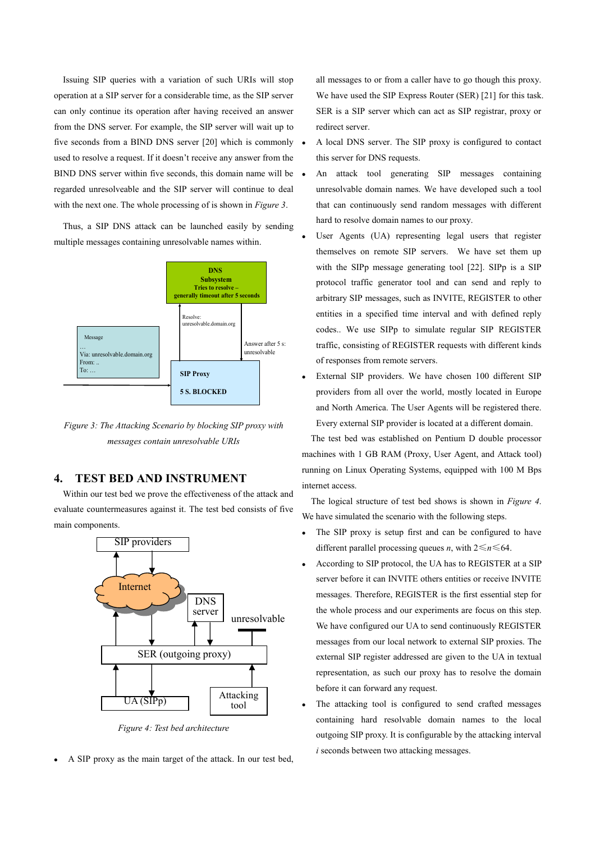Issuing SIP queries with a variation of such URIs will stop operation at a SIP server for a considerable time, as the SIP server can only continue its operation after having received an answer from the DNS server. For example, the SIP server will wait up to five seconds from a BIND DNS server [20] which is commonly used to resolve a request. If it doesn't receive any answer from the BIND DNS server within five seconds, this domain name will be  $\bullet$ regarded unresolveable and the SIP server will continue to deal with the next one. The whole processing of is shown in *Figure 3*.

Thus, a SIP DNS attack can be launched easily by sending multiple messages containing unresolvable names within.



Figure 3: The Attacking Scenario by blocking SIP proxy with messages contain unresolvable URIs

#### 4. TEST BED AND INSTRUMENT

Within our test bed we prove the effectiveness of the attack and evaluate countermeasures against it. The test bed consists of five main components.



Figure 4: Test bed architecture

A SIP proxy as the main target of the attack. In our test bed,

all messages to or from a caller have to go though this proxy. We have used the SIP Express Router (SER) [21] for this task. SER is a SIP server which can act as SIP registrar, proxy or redirect server.

- A local DNS server. The SIP proxy is configured to contact this server for DNS requests.
- An attack tool generating SIP messages containing unresolvable domain names. We have developed such a tool that can continuously send random messages with different hard to resolve domain names to our proxy.
- User Agents (UA) representing legal users that register themselves on remote SIP servers. We have set them up with the SIPp message generating tool [22]. SIPp is a SIP protocol traffic generator tool and can send and reply to arbitrary SIP messages, such as INVITE, REGISTER to other entities in a specified time interval and with defined reply codes.. We use SIPp to simulate regular SIP REGISTER traffic, consisting of REGISTER requests with different kinds of responses from remote servers.
- External SIP providers. We have chosen 100 different SIP providers from all over the world, mostly located in Europe and North America. The User Agents will be registered there. Every external SIP provider is located at a different domain.

The test bed was established on Pentium D double processor machines with 1 GB RAM (Proxy, User Agent, and Attack tool) running on Linux Operating Systems, equipped with 100 M Bps internet access.

The logical structure of test bed shows is shown in Figure 4. We have simulated the scenario with the following steps.

- The SIP proxy is setup first and can be configured to have different parallel processing queues *n*, with  $2 \le n \le 64$ .
- According to SIP protocol, the UA has to REGISTER at a SIP server before it can INVITE others entities or receive INVITE messages. Therefore, REGISTER is the first essential step for the whole process and our experiments are focus on this step. We have configured our UA to send continuously REGISTER messages from our local network to external SIP proxies. The external SIP register addressed are given to the UA in textual representation, as such our proxy has to resolve the domain before it can forward any request.
- The attacking tool is configured to send crafted messages containing hard resolvable domain names to the local outgoing SIP proxy. It is configurable by the attacking interval i seconds between two attacking messages.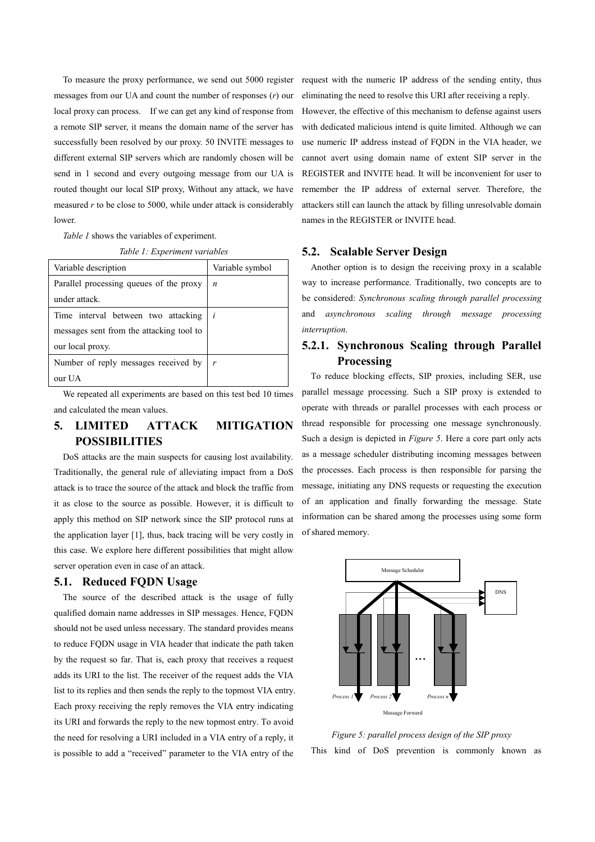To measure the proxy performance, we send out 5000 register messages from our UA and count the number of responses  $(r)$  our local proxy can process. If we can get any kind of response from a remote SIP server, it means the domain name of the server has successfully been resolved by our proxy. 50 INVITE messages to different external SIP servers which are randomly chosen will be send in 1 second and every outgoing message from our UA is routed thought our local SIP proxy, Without any attack, we have measured  $r$  to be close to 5000, while under attack is considerably lower.

Table 1 shows the variables of experiment.

Table 1: Experiment variables

| Variable description                     | Variable symbol  |
|------------------------------------------|------------------|
| Parallel processing queues of the proxy  | $\boldsymbol{n}$ |
| under attack.                            |                  |
| Time interval between two attacking      | $\overline{i}$   |
| messages sent from the attacking tool to |                  |
| our local proxy.                         |                  |
| Number of reply messages received by     | $\mathbf{r}$     |
| our UA                                   |                  |

We repeated all experiments are based on this test bed 10 times and calculated the mean values.

### 5. LIMITED ATTACK MITIGATION POSSIBILITIES

DoS attacks are the main suspects for causing lost availability. Traditionally, the general rule of alleviating impact from a DoS attack is to trace the source of the attack and block the traffic from it as close to the source as possible. However, it is difficult to apply this method on SIP network since the SIP protocol runs at the application layer [1], thus, back tracing will be very costly in this case. We explore here different possibilities that might allow server operation even in case of an attack.

#### 5.1. Reduced FQDN Usage

The source of the described attack is the usage of fully qualified domain name addresses in SIP messages. Hence, FQDN should not be used unless necessary. The standard provides means to reduce FQDN usage in VIA header that indicate the path taken by the request so far. That is, each proxy that receives a request adds its URI to the list. The receiver of the request adds the VIA list to its replies and then sends the reply to the topmost VIA entry. Each proxy receiving the reply removes the VIA entry indicating its URI and forwards the reply to the new topmost entry. To avoid the need for resolving a URI included in a VIA entry of a reply, it is possible to add a "received" parameter to the VIA entry of the

request with the numeric IP address of the sending entity, thus eliminating the need to resolve this URI after receiving a reply.

However, the effective of this mechanism to defense against users with dedicated malicious intend is quite limited. Although we can use numeric IP address instead of FQDN in the VIA header, we cannot avert using domain name of extent SIP server in the REGISTER and INVITE head. It will be inconvenient for user to remember the IP address of external server. Therefore, the attackers still can launch the attack by filling unresolvable domain names in the REGISTER or INVITE head.

#### 5.2. Scalable Server Design

Another option is to design the receiving proxy in a scalable way to increase performance. Traditionally, two concepts are to be considered: Synchronous scaling through parallel processing and asynchronous scaling through message processing interruption.

### 5.2.1. Synchronous Scaling through Parallel **Processing**

To reduce blocking effects, SIP proxies, including SER, use parallel message processing. Such a SIP proxy is extended to operate with threads or parallel processes with each process or thread responsible for processing one message synchronously. Such a design is depicted in *Figure 5*. Here a core part only acts as a message scheduler distributing incoming messages between the processes. Each process is then responsible for parsing the message, initiating any DNS requests or requesting the execution of an application and finally forwarding the message. State information can be shared among the processes using some form of shared memory.



Figure 5: parallel process design of the SIP proxy This kind of DoS prevention is commonly known as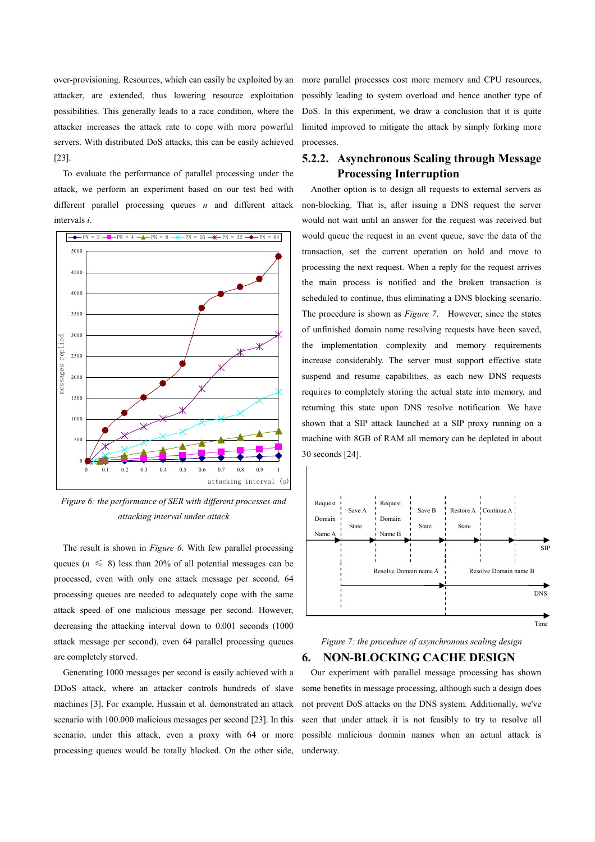over-provisioning. Resources, which can easily be exploited by an attacker, are extended, thus lowering resource exploitation possibilities. This generally leads to a race condition, where the attacker increases the attack rate to cope with more powerful servers. With distributed DoS attacks, this can be easily achieved [23].

To evaluate the performance of parallel processing under the attack, we perform an experiment based on our test bed with different parallel processing queues  $n$  and different attack intervals i.



Figure 6: the performance of SER with different processes and attacking interval under attack

The result is shown in *Figure 6*. With few parallel processing queues ( $n \leq 8$ ) less than 20% of all potential messages can be processed, even with only one attack message per second. 64 processing queues are needed to adequately cope with the same attack speed of one malicious message per second. However, decreasing the attacking interval down to 0.001 seconds (1000 attack message per second), even 64 parallel processing queues are completely starved.

 Generating 1000 messages per second is easily achieved with a DDoS attack, where an attacker controls hundreds of slave machines [3]. For example, Hussain et al. demonstrated an attack scenario with 100.000 malicious messages per second [23]. In this scenario, under this attack, even a proxy with 64 or more processing queues would be totally blocked. On the other side,

more parallel processes cost more memory and CPU resources, possibly leading to system overload and hence another type of DoS. In this experiment, we draw a conclusion that it is quite limited improved to mitigate the attack by simply forking more processes.

### 5.2.2. Asynchronous Scaling through Message Processing Interruption

Another option is to design all requests to external servers as non-blocking. That is, after issuing a DNS request the server would not wait until an answer for the request was received but would queue the request in an event queue, save the data of the transaction, set the current operation on hold and move to processing the next request. When a reply for the request arrives the main process is notified and the broken transaction is scheduled to continue, thus eliminating a DNS blocking scenario. The procedure is shown as *Figure 7*. However, since the states of unfinished domain name resolving requests have been saved, the implementation complexity and memory requirements increase considerably. The server must support effective state suspend and resume capabilities, as each new DNS requests requires to completely storing the actual state into memory, and returning this state upon DNS resolve notification. We have shown that a SIP attack launched at a SIP proxy running on a machine with 8GB of RAM all memory can be depleted in about 30 seconds [24].



Figure 7: the procedure of asynchronous scaling design

#### 6. NON-BLOCKING CACHE DESIGN

Our experiment with parallel message processing has shown some benefits in message processing, although such a design does not prevent DoS attacks on the DNS system. Additionally, we've seen that under attack it is not feasibly to try to resolve all possible malicious domain names when an actual attack is underway.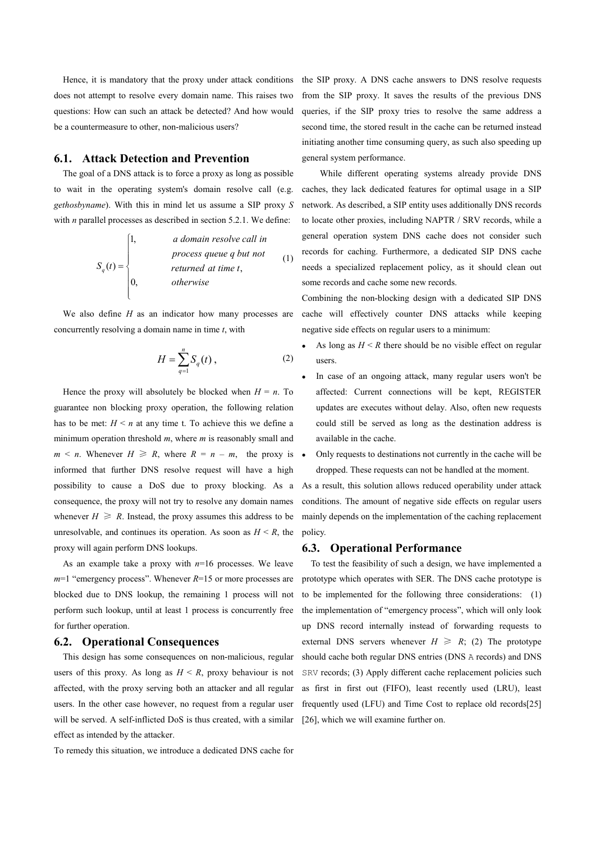Hence, it is mandatory that the proxy under attack conditions does not attempt to resolve every domain name. This raises two questions: How can such an attack be detected? And how would be a countermeasure to other, non-malicious users?

#### 6.1. Attack Detection and Prevention

The goal of a DNS attack is to force a proxy as long as possible to wait in the operating system's domain resolve call (e.g. gethosbyname). With this in mind let us assume a SIP proxy S with  $n$  parallel processes as described in section 5.2.1. We define:

$$
S_q(t) = \begin{cases} 1, & a \text{ domain resolve call in} \\ & process queue q but not \\ & returned \text{ at time } t, \\ 0, & otherwise \end{cases}
$$
 (1)

We also define  $H$  as an indicator how many processes are concurrently resolving a domain name in time  $t$ , with

$$
H = \sum_{q=1}^{n} S_q(t) , \qquad (2)
$$

Hence the proxy will absolutely be blocked when  $H = n$ . To guarantee non blocking proxy operation, the following relation has to be met:  $H \le n$  at any time t. To achieve this we define a minimum operation threshold  $m$ , where  $m$  is reasonably small and  $m \leq n$ . Whenever  $H \geq R$ , where  $R = n - m$ , the proxy is informed that further DNS resolve request will have a high possibility to cause a DoS due to proxy blocking. As a consequence, the proxy will not try to resolve any domain names whenever  $H \ge R$ . Instead, the proxy assumes this address to be unresolvable, and continues its operation. As soon as  $H \leq R$ , the proxy will again perform DNS lookups.

As an example take a proxy with  $n=16$  processes. We leave  $m=1$  "emergency process". Whenever  $R=15$  or more processes are blocked due to DNS lookup, the remaining 1 process will not perform such lookup, until at least 1 process is concurrently free for further operation.

#### 6.2. Operational Consequences

This design has some consequences on non-malicious, regular users of this proxy. As long as  $H < R$ , proxy behaviour is not affected, with the proxy serving both an attacker and all regular users. In the other case however, no request from a regular user will be served. A self-inflicted DoS is thus created, with a similar effect as intended by the attacker.

To remedy this situation, we introduce a dedicated DNS cache for

the SIP proxy. A DNS cache answers to DNS resolve requests from the SIP proxy. It saves the results of the previous DNS queries, if the SIP proxy tries to resolve the same address a second time, the stored result in the cache can be returned instead initiating another time consuming query, as such also speeding up general system performance.

While different operating systems already provide DNS caches, they lack dedicated features for optimal usage in a SIP network. As described, a SIP entity uses additionally DNS records to locate other proxies, including NAPTR / SRV records, while a general operation system DNS cache does not consider such records for caching. Furthermore, a dedicated SIP DNS cache needs a specialized replacement policy, as it should clean out some records and cache some new records.

Combining the non-blocking design with a dedicated SIP DNS cache will effectively counter DNS attacks while keeping negative side effects on regular users to a minimum:

- As long as  $H \leq R$  there should be no visible effect on regular users.
- In case of an ongoing attack, many regular users won't be affected: Current connections will be kept, REGISTER updates are executes without delay. Also, often new requests could still be served as long as the destination address is available in the cache.
- Only requests to destinations not currently in the cache will be dropped. These requests can not be handled at the moment.

As a result, this solution allows reduced operability under attack conditions. The amount of negative side effects on regular users mainly depends on the implementation of the caching replacement policy.

#### 6.3. Operational Performance

To test the feasibility of such a design, we have implemented a prototype which operates with SER. The DNS cache prototype is to be implemented for the following three considerations: (1) the implementation of "emergency process", which will only look up DNS record internally instead of forwarding requests to external DNS servers whenever  $H \ge R$ ; (2) The prototype should cache both regular DNS entries (DNS A records) and DNS SRV records; (3) Apply different cache replacement policies such as first in first out (FIFO), least recently used (LRU), least frequently used (LFU) and Time Cost to replace old records[25] [26], which we will examine further on.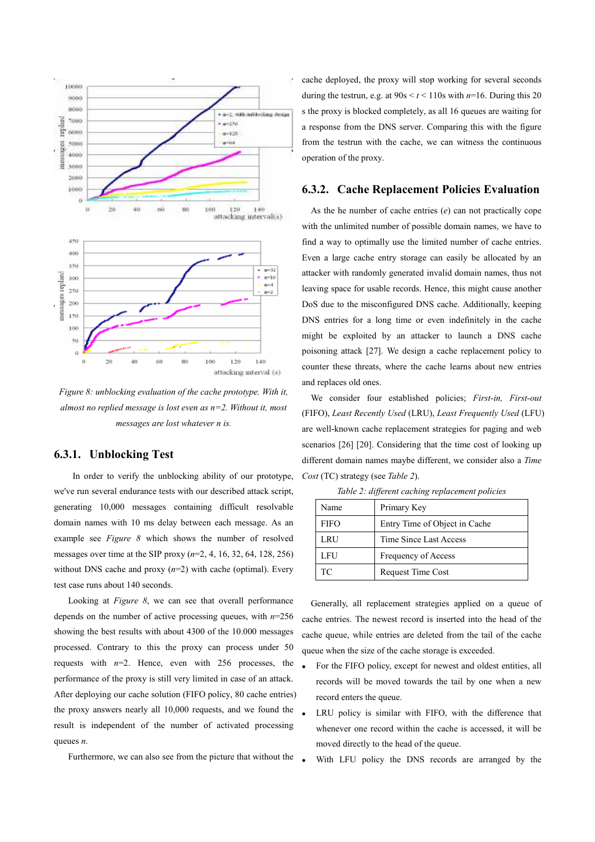

Figure 8: unblocking evaluation of the cache prototype. With it, almost no replied message is lost even as  $n=2$ . Without it, most messages are lost whatever n is.

#### 6.3.1. Unblocking Test

 In order to verify the unblocking ability of our prototype, we've run several endurance tests with our described attack script, generating 10,000 messages containing difficult resolvable domain names with 10 ms delay between each message. As an example see Figure 8 which shows the number of resolved messages over time at the SIP proxy  $(n=2, 4, 16, 32, 64, 128, 256)$ without DNS cache and proxy  $(n=2)$  with cache (optimal). Every test case runs about 140 seconds.

Looking at *Figure 8*, we can see that overall performance depends on the number of active processing queues, with  $n=256$ showing the best results with about 4300 of the 10.000 messages processed. Contrary to this the proxy can process under 50 requests with  $n=2$ . Hence, even with 256 processes, the performance of the proxy is still very limited in case of an attack. After deploying our cache solution (FIFO policy, 80 cache entries) the proxy answers nearly all 10,000 requests, and we found the result is independent of the number of activated processing queues  $n$ .

Furthermore, we can also see from the picture that without the

cache deployed, the proxy will stop working for several seconds during the testrun, e.g. at  $90s < t < 110s$  with  $n=16$ . During this 20 s the proxy is blocked completely, as all 16 queues are waiting for a response from the DNS server. Comparing this with the figure from the testrun with the cache, we can witness the continuous operation of the proxy.

#### 6.3.2. Cache Replacement Policies Evaluation

As the he number of cache entries  $(e)$  can not practically cope with the unlimited number of possible domain names, we have to find a way to optimally use the limited number of cache entries. Even a large cache entry storage can easily be allocated by an attacker with randomly generated invalid domain names, thus not leaving space for usable records. Hence, this might cause another DoS due to the misconfigured DNS cache. Additionally, keeping DNS entries for a long time or even indefinitely in the cache might be exploited by an attacker to launch a DNS cache poisoning attack [27]. We design a cache replacement policy to counter these threats, where the cache learns about new entries and replaces old ones.

We consider four established policies; First-in, First-out (FIFO), Least Recently Used (LRU), Least Frequently Used (LFU) are well-known cache replacement strategies for paging and web scenarios [26] [20]. Considering that the time cost of looking up different domain names maybe different, we consider also a Time Cost (TC) strategy (see Table 2).

| Name        | Primary Key                   |
|-------------|-------------------------------|
| <b>FIFO</b> | Entry Time of Object in Cache |
| LRU         | Time Since Last Access        |
| LFU         | Frequency of Access           |
| TC.         | Request Time Cost             |

Table 2: different caching replacement policies

Generally, all replacement strategies applied on a queue of cache entries. The newest record is inserted into the head of the cache queue, while entries are deleted from the tail of the cache queue when the size of the cache storage is exceeded.

- For the FIFO policy, except for newest and oldest entities, all records will be moved towards the tail by one when a new record enters the queue.
- LRU policy is similar with FIFO, with the difference that whenever one record within the cache is accessed, it will be moved directly to the head of the queue.
- With LFU policy the DNS records are arranged by the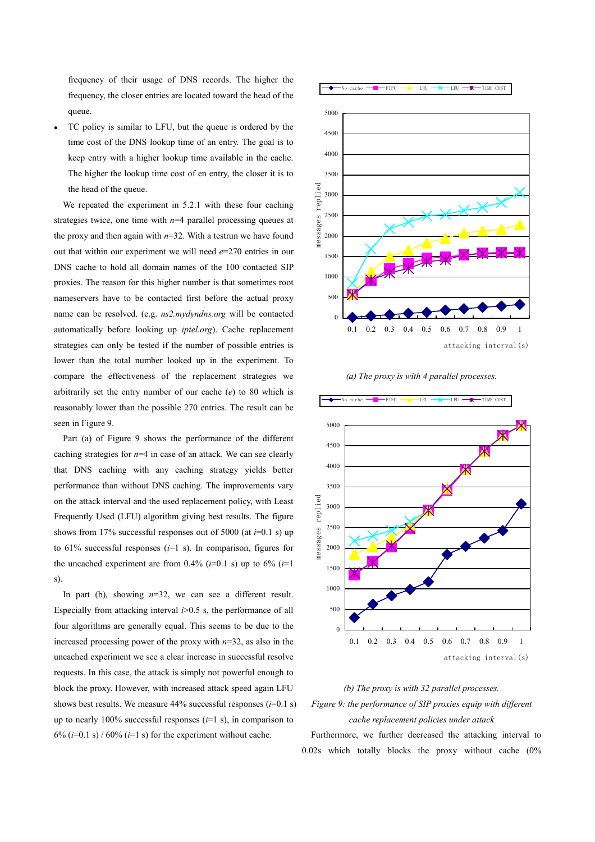frequency of their usage of DNS records. The higher the frequency, the closer entries are located toward the head of the queue.

 TC policy is similar to LFU, but the queue is ordered by the time cost of the DNS lookup time of an entry. The goal is to keep entry with a higher lookup time available in the cache. The higher the lookup time cost of en entry, the closer it is to the head of the queue.

We repeated the experiment in 5.2.1 with these four caching strategies twice, one time with  $n=4$  parallel processing queues at the proxy and then again with  $n=32$ . With a testrun we have found out that within our experiment we will need  $e=270$  entries in our DNS cache to hold all domain names of the 100 contacted SIP proxies. The reason for this higher number is that sometimes root nameservers have to be contacted first before the actual proxy name can be resolved. (e.g. ns2.mydyndns.org will be contacted automatically before looking up iptel.org). Cache replacement strategies can only be tested if the number of possible entries is lower than the total number looked up in the experiment. To compare the effectiveness of the replacement strategies we arbitrarily set the entry number of our cache  $(e)$  to 80 which is reasonably lower than the possible 270 entries. The result can be seen in Figure 9.

Part (a) of Figure 9 shows the performance of the different caching strategies for  $n=4$  in case of an attack. We can see clearly that DNS caching with any caching strategy yields better performance than without DNS caching. The improvements vary on the attack interval and the used replacement policy, with Least Frequently Used (LFU) algorithm giving best results. The figure shows from 17% successful responses out of 5000 (at  $i=0.1$  s) up to 61% successful responses  $(i=1 s)$ . In comparison, figures for the uncached experiment are from 0.4% ( $i=0.1$  s) up to 6% ( $i=1$ s).

In part (b), showing  $n=32$ , we can see a different result. Especially from attacking interval  $\geq 0.5$  s, the performance of all four algorithms are generally equal. This seems to be due to the increased processing power of the proxy with  $n=32$ , as also in the uncached experiment we see a clear increase in successful resolve requests. In this case, the attack is simply not powerful enough to block the proxy. However, with increased attack speed again LFU shows best results. We measure  $44\%$  successful responses ( $i=0.1$  s) up to nearly 100% successful responses  $(i=1 s)$ , in comparison to 6% ( $i=0.1$  s) / 60% ( $i=1$  s) for the experiment without cache.



(a) The proxy is with 4 parallel processes.



### (b) The proxy is with 32 parallel processes. Figure 9: the performance of SIP proxies equip with different cache replacement policies under attack

 Furthermore, we further decreased the attacking interval to 0.02s which totally blocks the proxy without cache (0%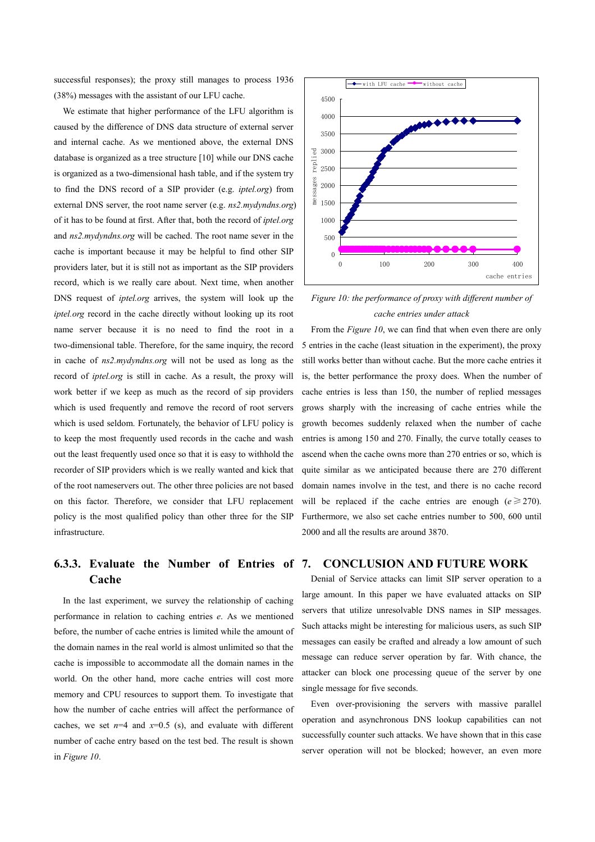successful responses); the proxy still manages to process 1936 (38%) messages with the assistant of our LFU cache.

We estimate that higher performance of the LFU algorithm is caused by the difference of DNS data structure of external server and internal cache. As we mentioned above, the external DNS database is organized as a tree structure [10] while our DNS cache is organized as a two-dimensional hash table, and if the system try to find the DNS record of a SIP provider (e.g. iptel.org) from external DNS server, the root name server (e.g. ns2.mydyndns.org) of it has to be found at first. After that, both the record of iptel.org and ns2.mydyndns.org will be cached. The root name sever in the cache is important because it may be helpful to find other SIP providers later, but it is still not as important as the SIP providers record, which is we really care about. Next time, when another DNS request of *iptel.org* arrives, the system will look up the iptel.org record in the cache directly without looking up its root name server because it is no need to find the root in a two-dimensional table. Therefore, for the same inquiry, the record in cache of ns2.mydyndns.org will not be used as long as the record of iptel.org is still in cache. As a result, the proxy will work better if we keep as much as the record of sip providers which is used frequently and remove the record of root servers which is used seldom. Fortunately, the behavior of LFU policy is to keep the most frequently used records in the cache and wash out the least frequently used once so that it is easy to withhold the recorder of SIP providers which is we really wanted and kick that of the root nameservers out. The other three policies are not based on this factor. Therefore, we consider that LFU replacement policy is the most qualified policy than other three for the SIP infrastructure.

### 6.3.3. Evaluate the Number of Entries of Cache

In the last experiment, we survey the relationship of caching performance in relation to caching entries e. As we mentioned before, the number of cache entries is limited while the amount of the domain names in the real world is almost unlimited so that the cache is impossible to accommodate all the domain names in the world. On the other hand, more cache entries will cost more memory and CPU resources to support them. To investigate that how the number of cache entries will affect the performance of caches, we set  $n=4$  and  $x=0.5$  (s), and evaluate with different number of cache entry based on the test bed. The result is shown in Figure 10.



Figure 10: the performance of proxy with different number of cache entries under attack

From the *Figure 10*, we can find that when even there are only 5 entries in the cache (least situation in the experiment), the proxy still works better than without cache. But the more cache entries it is, the better performance the proxy does. When the number of cache entries is less than 150, the number of replied messages grows sharply with the increasing of cache entries while the growth becomes suddenly relaxed when the number of cache entries is among 150 and 270. Finally, the curve totally ceases to ascend when the cache owns more than 270 entries or so, which is quite similar as we anticipated because there are 270 different domain names involve in the test, and there is no cache record will be replaced if the cache entries are enough ( $e \ge 270$ ). Furthermore, we also set cache entries number to 500, 600 until 2000 and all the results are around 3870.

#### 7. CONCLUSION AND FUTURE WORK

Denial of Service attacks can limit SIP server operation to a large amount. In this paper we have evaluated attacks on SIP servers that utilize unresolvable DNS names in SIP messages. Such attacks might be interesting for malicious users, as such SIP messages can easily be crafted and already a low amount of such message can reduce server operation by far. With chance, the attacker can block one processing queue of the server by one single message for five seconds.

Even over-provisioning the servers with massive parallel operation and asynchronous DNS lookup capabilities can not successfully counter such attacks. We have shown that in this case server operation will not be blocked; however, an even more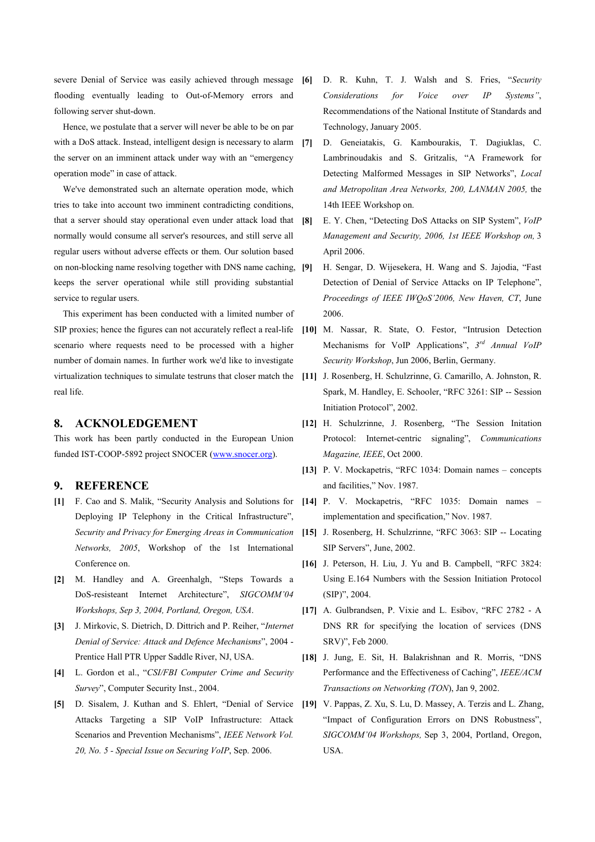severe Denial of Service was easily achieved through message flooding eventually leading to Out-of-Memory errors and following server shut-down.

Hence, we postulate that a server will never be able to be on par with a DoS attack. Instead, intelligent design is necessary to alarm [7] the server on an imminent attack under way with an "emergency operation mode" in case of attack.

We've demonstrated such an alternate operation mode, which tries to take into account two imminent contradicting conditions, that a server should stay operational even under attack load that normally would consume all server's resources, and still serve all regular users without adverse effects or them. Our solution based on non-blocking name resolving together with DNS name caching, keeps the server operational while still providing substantial service to regular users.

This experiment has been conducted with a limited number of SIP proxies; hence the figures can not accurately reflect a real-life [10] M. Nassar, R. State, O. Festor, "Intrusion Detection scenario where requests need to be processed with a higher number of domain names. In further work we'd like to investigate virtualization techniques to simulate testruns that closer match the [11] J. Rosenberg, H. Schulzrinne, G. Camarillo, A. Johnston, R. real life.

#### 8. ACKNOLEDGEMENT

This work has been partly conducted in the European Union funded IST-COOP-5892 project SNOCER (www.snocer.org).

#### 9. REFERENCE

- [1] F. Cao and S. Malik, "Security Analysis and Solutions for [14] P. V. Mockapetris, "RFC 1035: Domain names Deploying IP Telephony in the Critical Infrastructure", Security and Privacy for Emerging Areas in Communication Networks, 2005, Workshop of the 1st International Conference on.
- [2] M. Handley and A. Greenhalgh, "Steps Towards a DoS-resisteant Internet Architecture", SIGCOMM'04 Workshops, Sep 3, 2004, Portland, Oregon, USA.
- [3] J. Mirkovic, S. Dietrich, D. Dittrich and P. Reiher, "Internet Denial of Service: Attack and Defence Mechanisms", 2004 - Prentice Hall PTR Upper Saddle River, NJ, USA.
- [4] L. Gordon et al., "CSI/FBI Computer Crime and Security Survey", Computer Security Inst., 2004.
- [5] D. Sisalem, J. Kuthan and S. Ehlert, "Denial of Service [19] V. Pappas, Z. Xu, S. Lu, D. Massey, A. Terzis and L. Zhang, Attacks Targeting a SIP VoIP Infrastructure: Attack Scenarios and Prevention Mechanisms", IEEE Network Vol. 20, No. 5 - Special Issue on Securing VoIP, Sep. 2006.
- [6] D. R. Kuhn, T. J. Walsh and S. Fries, "Security Considerations for Voice over IP Systems", Recommendations of the National Institute of Standards and Technology, January 2005.
	- D. Geneiatakis, G. Kambourakis, T. Dagiuklas, C. Lambrinoudakis and S. Gritzalis, "A Framework for Detecting Malformed Messages in SIP Networks", Local and Metropolitan Area Networks, 200, LANMAN 2005, the 14th IEEE Workshop on.
- [8] E. Y. Chen, "Detecting DoS Attacks on SIP System", VoIP Management and Security, 2006, 1st IEEE Workshop on, 3 April 2006.
	- H. Sengar, D. Wijesekera, H. Wang and S. Jajodia, "Fast Detection of Denial of Service Attacks on IP Telephone", Proceedings of IEEE IWQoS'2006, New Haven, CT, June 2006.
- Mechanisms for VoIP Applications",  $3^{rd}$  Annual VoIP Security Workshop, Jun 2006, Berlin, Germany.
- Spark, M. Handley, E. Schooler, "RFC 3261: SIP -- Session Initiation Protocol", 2002.
- [12] H. Schulzrinne, J. Rosenberg, "The Session Initation Protocol: Internet-centric signaling", Communications Magazine, IEEE, Oct 2000.
- [13] P. V. Mockapetris, "RFC 1034: Domain names concepts and facilities," Nov. 1987.
- implementation and specification," Nov. 1987.
- [15] J. Rosenberg, H. Schulzrinne, "RFC 3063: SIP -- Locating SIP Servers", June, 2002.
- [16] J. Peterson, H. Liu, J. Yu and B. Campbell, "RFC 3824: Using E.164 Numbers with the Session Initiation Protocol (SIP)", 2004.
- [17] A. Gulbrandsen, P. Vixie and L. Esibov, "RFC 2782 A DNS RR for specifying the location of services (DNS SRV)", Feb 2000.
- [18] J. Jung, E. Sit, H. Balakrishnan and R. Morris, "DNS Performance and the Effectiveness of Caching", IEEE/ACM Transactions on Networking (TON), Jan 9, 2002.
- "Impact of Configuration Errors on DNS Robustness", SIGCOMM'04 Workshops, Sep 3, 2004, Portland, Oregon, USA.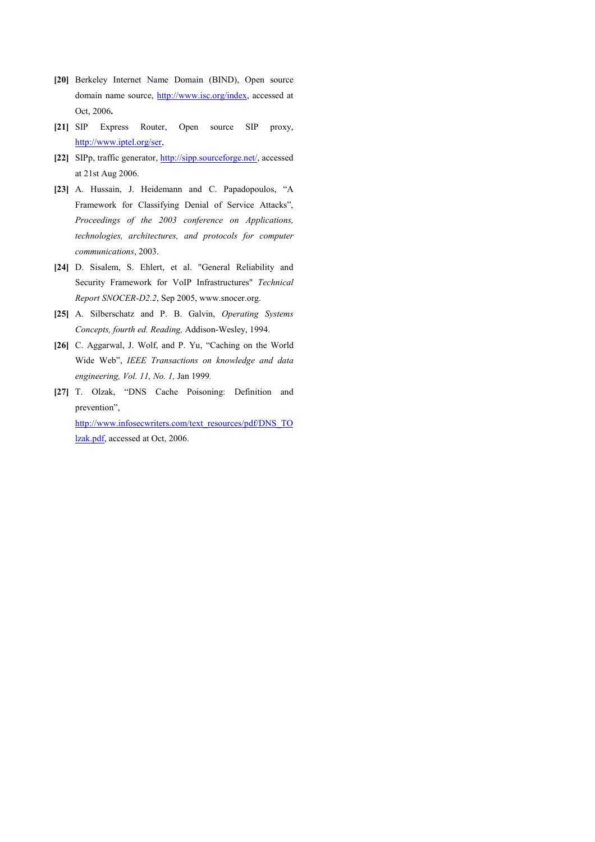- [20] Berkeley Internet Name Domain (BIND), Open source domain name source, http://www.isc.org/index, accessed at Oct, 2006.
- [21] SIP Express Router, Open source SIP proxy, http://www.iptel.org/ser,
- [22] SIPp, traffic generator, http://sipp.sourceforge.net/, accessed at 21st Aug 2006.
- [23] A. Hussain, J. Heidemann and C. Papadopoulos, "A Framework for Classifying Denial of Service Attacks", Proceedings of the 2003 conference on Applications, technologies, architectures, and protocols for computer communications, 2003.
- [24] D. Sisalem, S. Ehlert, et al. "General Reliability and Security Framework for VoIP Infrastructures" Technical Report SNOCER-D2.2, Sep 2005, www.snocer.org.
- [25] A. Silberschatz and P. B. Galvin, Operating Systems Concepts, fourth ed. Reading, Addison-Wesley, 1994.
- [26] C. Aggarwal, J. Wolf, and P. Yu, "Caching on the World Wide Web", IEEE Transactions on knowledge and data engineering, Vol. 11, No. 1, Jan 1999.
- [27] T. Olzak, "DNS Cache Poisoning: Definition and prevention", http://www.infosecwriters.com/text\_resources/pdf/DNS\_TO lzak.pdf, accessed at Oct, 2006.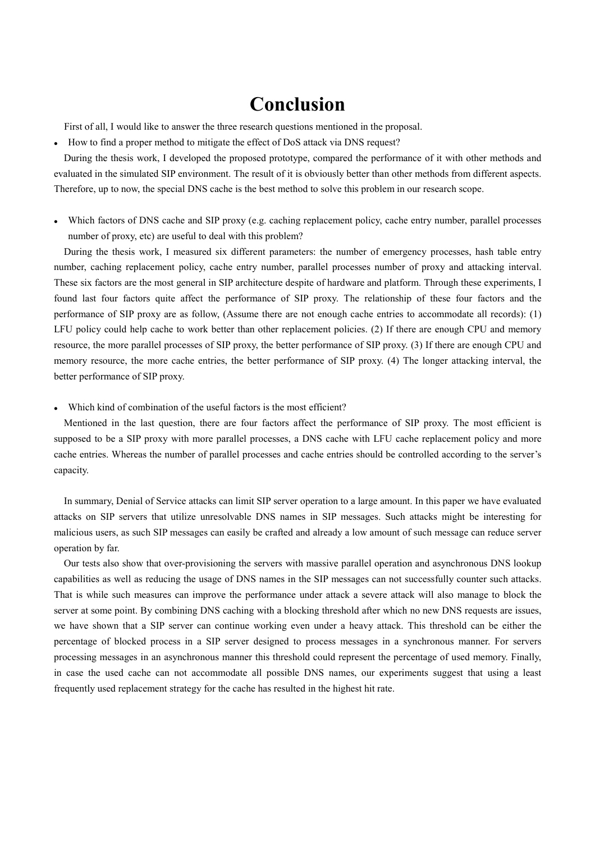## Conclusion

First of all, I would like to answer the three research questions mentioned in the proposal.

How to find a proper method to mitigate the effect of DoS attack via DNS request?

During the thesis work, I developed the proposed prototype, compared the performance of it with other methods and evaluated in the simulated SIP environment. The result of it is obviously better than other methods from different aspects. Therefore, up to now, the special DNS cache is the best method to solve this problem in our research scope.

 Which factors of DNS cache and SIP proxy (e.g. caching replacement policy, cache entry number, parallel processes number of proxy, etc) are useful to deal with this problem?

During the thesis work, I measured six different parameters: the number of emergency processes, hash table entry number, caching replacement policy, cache entry number, parallel processes number of proxy and attacking interval. These six factors are the most general in SIP architecture despite of hardware and platform. Through these experiments, I found last four factors quite affect the performance of SIP proxy. The relationship of these four factors and the performance of SIP proxy are as follow, (Assume there are not enough cache entries to accommodate all records): (1) LFU policy could help cache to work better than other replacement policies. (2) If there are enough CPU and memory resource, the more parallel processes of SIP proxy, the better performance of SIP proxy. (3) If there are enough CPU and memory resource, the more cache entries, the better performance of SIP proxy. (4) The longer attacking interval, the better performance of SIP proxy.

Which kind of combination of the useful factors is the most efficient?

Mentioned in the last question, there are four factors affect the performance of SIP proxy. The most efficient is supposed to be a SIP proxy with more parallel processes, a DNS cache with LFU cache replacement policy and more cache entries. Whereas the number of parallel processes and cache entries should be controlled according to the server's capacity.

In summary, Denial of Service attacks can limit SIP server operation to a large amount. In this paper we have evaluated attacks on SIP servers that utilize unresolvable DNS names in SIP messages. Such attacks might be interesting for malicious users, as such SIP messages can easily be crafted and already a low amount of such message can reduce server operation by far.

Our tests also show that over-provisioning the servers with massive parallel operation and asynchronous DNS lookup capabilities as well as reducing the usage of DNS names in the SIP messages can not successfully counter such attacks. That is while such measures can improve the performance under attack a severe attack will also manage to block the server at some point. By combining DNS caching with a blocking threshold after which no new DNS requests are issues, we have shown that a SIP server can continue working even under a heavy attack. This threshold can be either the percentage of blocked process in a SIP server designed to process messages in a synchronous manner. For servers processing messages in an asynchronous manner this threshold could represent the percentage of used memory. Finally, in case the used cache can not accommodate all possible DNS names, our experiments suggest that using a least frequently used replacement strategy for the cache has resulted in the highest hit rate.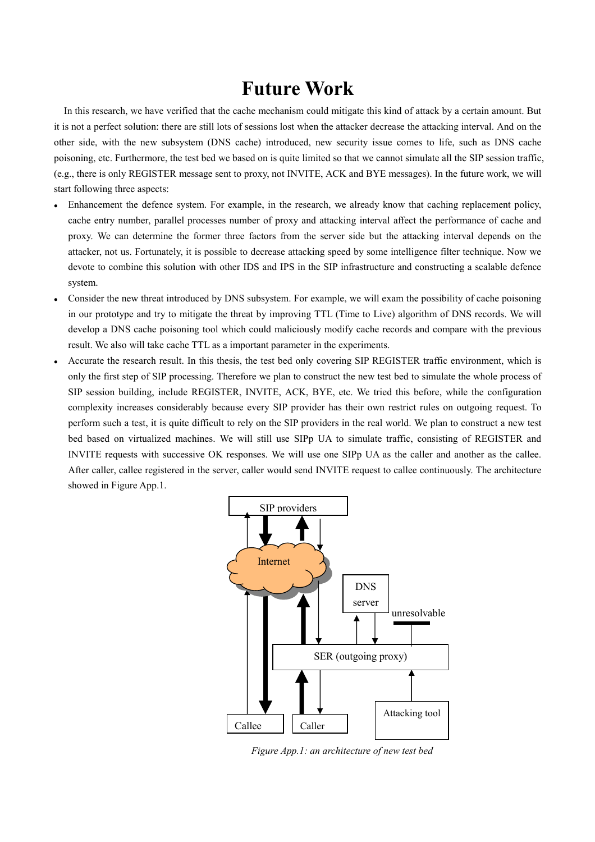# Future Work

In this research, we have verified that the cache mechanism could mitigate this kind of attack by a certain amount. But it is not a perfect solution: there are still lots of sessions lost when the attacker decrease the attacking interval. And on the other side, with the new subsystem (DNS cache) introduced, new security issue comes to life, such as DNS cache poisoning, etc. Furthermore, the test bed we based on is quite limited so that we cannot simulate all the SIP session traffic, (e.g., there is only REGISTER message sent to proxy, not INVITE, ACK and BYE messages). In the future work, we will start following three aspects:

- Enhancement the defence system. For example, in the research, we already know that caching replacement policy, cache entry number, parallel processes number of proxy and attacking interval affect the performance of cache and proxy. We can determine the former three factors from the server side but the attacking interval depends on the attacker, not us. Fortunately, it is possible to decrease attacking speed by some intelligence filter technique. Now we devote to combine this solution with other IDS and IPS in the SIP infrastructure and constructing a scalable defence system.
- Consider the new threat introduced by DNS subsystem. For example, we will exam the possibility of cache poisoning in our prototype and try to mitigate the threat by improving TTL (Time to Live) algorithm of DNS records. We will develop a DNS cache poisoning tool which could maliciously modify cache records and compare with the previous result. We also will take cache TTL as a important parameter in the experiments.
- Accurate the research result. In this thesis, the test bed only covering SIP REGISTER traffic environment, which is only the first step of SIP processing. Therefore we plan to construct the new test bed to simulate the whole process of SIP session building, include REGISTER, INVITE, ACK, BYE, etc. We tried this before, while the configuration complexity increases considerably because every SIP provider has their own restrict rules on outgoing request. To perform such a test, it is quite difficult to rely on the SIP providers in the real world. We plan to construct a new test bed based on virtualized machines. We will still use SIPp UA to simulate traffic, consisting of REGISTER and INVITE requests with successive OK responses. We will use one SIPp UA as the caller and another as the callee. After caller, callee registered in the server, caller would send INVITE request to callee continuously. The architecture showed in Figure App.1.



Figure App.1: an architecture of new test bed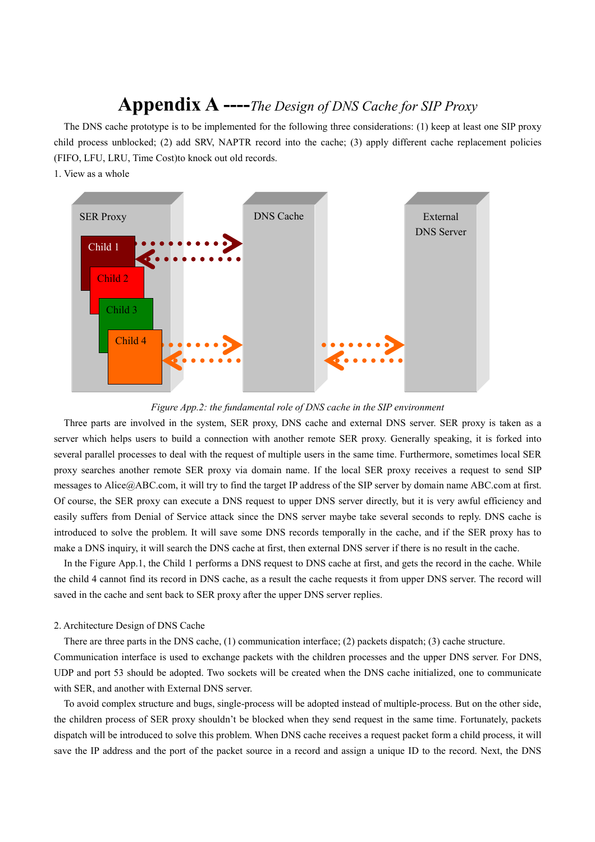### Appendix A ----The Design of DNS Cache for SIP Proxy

The DNS cache prototype is to be implemented for the following three considerations: (1) keep at least one SIP proxy child process unblocked; (2) add SRV, NAPTR record into the cache; (3) apply different cache replacement policies (FIFO, LFU, LRU, Time Cost)to knock out old records.

1. View as a whole



Figure App.2: the fundamental role of DNS cache in the SIP environment

Three parts are involved in the system, SER proxy, DNS cache and external DNS server. SER proxy is taken as a server which helps users to build a connection with another remote SER proxy. Generally speaking, it is forked into several parallel processes to deal with the request of multiple users in the same time. Furthermore, sometimes local SER proxy searches another remote SER proxy via domain name. If the local SER proxy receives a request to send SIP messages to Alice@ABC.com, it will try to find the target IP address of the SIP server by domain name ABC.com at first. Of course, the SER proxy can execute a DNS request to upper DNS server directly, but it is very awful efficiency and easily suffers from Denial of Service attack since the DNS server maybe take several seconds to reply. DNS cache is introduced to solve the problem. It will save some DNS records temporally in the cache, and if the SER proxy has to make a DNS inquiry, it will search the DNS cache at first, then external DNS server if there is no result in the cache.

In the Figure App.1, the Child 1 performs a DNS request to DNS cache at first, and gets the record in the cache. While the child 4 cannot find its record in DNS cache, as a result the cache requests it from upper DNS server. The record will saved in the cache and sent back to SER proxy after the upper DNS server replies.

#### 2. Architecture Design of DNS Cache

There are three parts in the DNS cache, (1) communication interface; (2) packets dispatch; (3) cache structure. Communication interface is used to exchange packets with the children processes and the upper DNS server. For DNS, UDP and port 53 should be adopted. Two sockets will be created when the DNS cache initialized, one to communicate with SER, and another with External DNS server.

To avoid complex structure and bugs, single-process will be adopted instead of multiple-process. But on the other side, the children process of SER proxy shouldn't be blocked when they send request in the same time. Fortunately, packets dispatch will be introduced to solve this problem. When DNS cache receives a request packet form a child process, it will save the IP address and the port of the packet source in a record and assign a unique ID to the record. Next, the DNS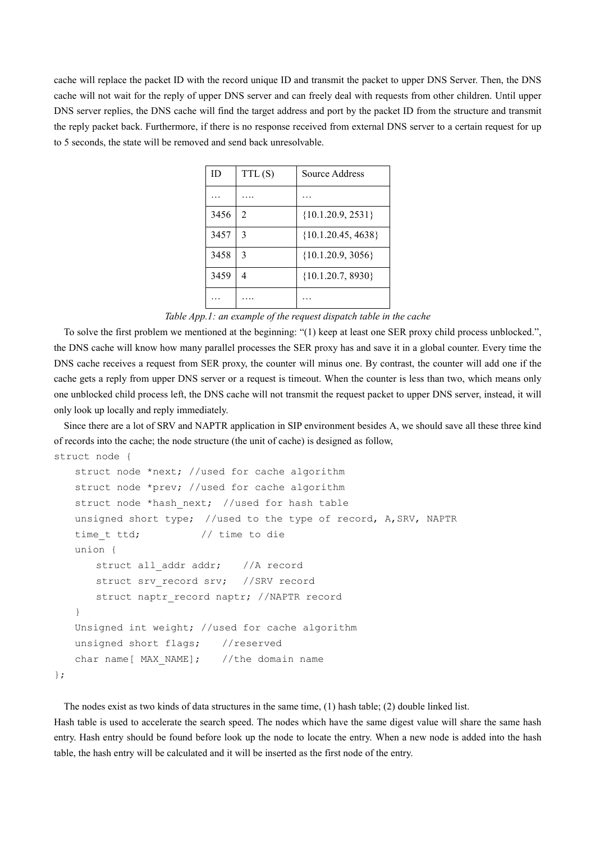cache will replace the packet ID with the record unique ID and transmit the packet to upper DNS Server. Then, the DNS cache will not wait for the reply of upper DNS server and can freely deal with requests from other children. Until upper DNS server replies, the DNS cache will find the target address and port by the packet ID from the structure and transmit the reply packet back. Furthermore, if there is no response received from external DNS server to a certain request for up to 5 seconds, the state will be removed and send back unresolvable.

| ID   | TTL(S)         | Source Address         |
|------|----------------|------------------------|
|      |                |                        |
| 3456 | $\mathfrak{D}$ | $\{10.1.20.9, 2531\}$  |
| 3457 | 3              | $\{10.1.20.45, 4638\}$ |
| 3458 | 3              | $\{10.1.20.9, 3056\}$  |
| 3459 |                | $\{10.1.20.7, 8930\}$  |
|      |                |                        |

Table App.1: an example of the request dispatch table in the cache

To solve the first problem we mentioned at the beginning: "(1) keep at least one SER proxy child process unblocked.", the DNS cache will know how many parallel processes the SER proxy has and save it in a global counter. Every time the DNS cache receives a request from SER proxy, the counter will minus one. By contrast, the counter will add one if the cache gets a reply from upper DNS server or a request is timeout. When the counter is less than two, which means only one unblocked child process left, the DNS cache will not transmit the request packet to upper DNS server, instead, it will only look up locally and reply immediately.

Since there are a lot of SRV and NAPTR application in SIP environment besides A, we should save all these three kind of records into the cache; the node structure (the unit of cache) is designed as follow, struct node {

```
struct node *next; //used for cache algorithm
   struct node *prev; //used for cache algorithm
   struct node *hash_next; //used for hash table
   unsigned short type; //used to the type of record, A,SRV, NAPTR 
   time t ttd; \frac{1}{2} // time to die
   union { 
       struct all addr addr; //A record
       struct srv record srv; //SRV record
       struct naptr record naptr; //NAPTR record
   } 
   Unsigned int weight; //used for cache algorithm 
   unsigned short flags; //reserved 
   char name [ MAX NAME]; //the domain name
};
```
The nodes exist as two kinds of data structures in the same time, (1) hash table; (2) double linked list. Hash table is used to accelerate the search speed. The nodes which have the same digest value will share the same hash entry. Hash entry should be found before look up the node to locate the entry. When a new node is added into the hash table, the hash entry will be calculated and it will be inserted as the first node of the entry.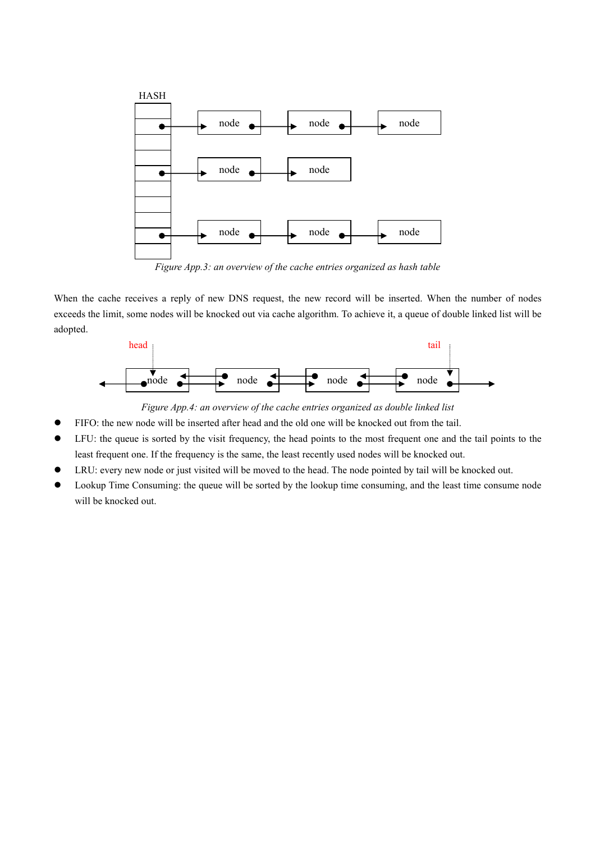

Figure App.3: an overview of the cache entries organized as hash table

When the cache receives a reply of new DNS request, the new record will be inserted. When the number of nodes exceeds the limit, some nodes will be knocked out via cache algorithm. To achieve it, a queue of double linked list will be adopted.



Figure App.4: an overview of the cache entries organized as double linked list

- FIFO: the new node will be inserted after head and the old one will be knocked out from the tail.
- LFU: the queue is sorted by the visit frequency, the head points to the most frequent one and the tail points to the least frequent one. If the frequency is the same, the least recently used nodes will be knocked out.
- LRU: every new node or just visited will be moved to the head. The node pointed by tail will be knocked out.
- Lookup Time Consuming: the queue will be sorted by the lookup time consuming, and the least time consume node will be knocked out.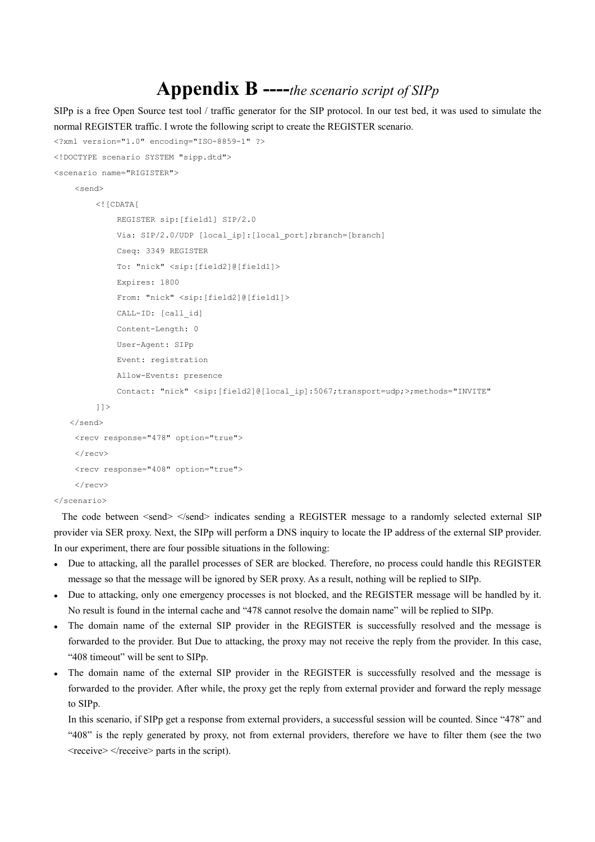## Appendix  $B$  ----the scenario script of SIPp

SIPp is a free Open Source test tool / traffic generator for the SIP protocol. In our test bed, it was used to simulate the normal REGISTER traffic. I wrote the following script to create the REGISTER scenario.

```
<?xml version="1.0" encoding="ISO-8859-1" ?> 
<!DOCTYPE scenario SYSTEM "sipp.dtd"> 
<scenario name="RIGISTER"> 
     <send> 
          <![CDATA[ 
               REGISTER sip:[field1] SIP/2.0 
               Via: SIP/2.0/UDP [local_ip]:[local_port];branch=[branch] 
               Cseq: 3349 REGISTER 
               To: "nick" <sip:[field2]@[field1]> 
               Expires: 1800 
               From: "nick" <sip:[field2]@[field1]> 
               CALL-ID: [call_id] 
               Content-Length: 0 
               User-Agent: SIPp 
               Event: registration 
               Allow-Events: presence 
               Contact: "nick" <sip:[field2]@[local_ip]:5067;transport=udp;>;methods="INVITE" 
          ]]> 
    </send> 
     <recv response="478" option="true"> 
    </recv>
     <recv response="408" option="true"> 
     </recv> 
</scenario>
```
### The code between <send> </send> indicates sending a REGISTER message to a randomly selected external SIP provider via SER proxy. Next, the SIPp will perform a DNS inquiry to locate the IP address of the external SIP provider. In our experiment, there are four possible situations in the following:

- Due to attacking, all the parallel processes of SER are blocked. Therefore, no process could handle this REGISTER message so that the message will be ignored by SER proxy. As a result, nothing will be replied to SIPp.
- Due to attacking, only one emergency processes is not blocked, and the REGISTER message will be handled by it. No result is found in the internal cache and "478 cannot resolve the domain name" will be replied to SIPp.
- The domain name of the external SIP provider in the REGISTER is successfully resolved and the message is forwarded to the provider. But Due to attacking, the proxy may not receive the reply from the provider. In this case, "408 timeout" will be sent to SIPp.
- The domain name of the external SIP provider in the REGISTER is successfully resolved and the message is forwarded to the provider. After while, the proxy get the reply from external provider and forward the reply message to SIPp.

In this scenario, if SIPp get a response from external providers, a successful session will be counted. Since "478" and "408" is the reply generated by proxy, not from external providers, therefore we have to filter them (see the two  $\le$ receive $\ge$   $\le$ /receive $\ge$  parts in the script).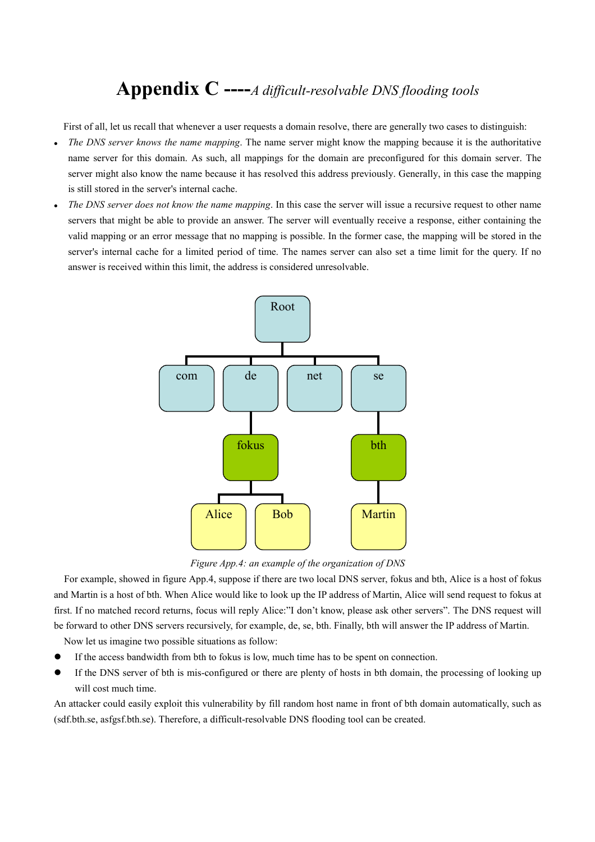# Appendix  $C$  ---- $A$  difficult-resolvable DNS flooding tools

First of all, let us recall that whenever a user requests a domain resolve, there are generally two cases to distinguish:

- The DNS server knows the name mapping. The name server might know the mapping because it is the authoritative name server for this domain. As such, all mappings for the domain are preconfigured for this domain server. The server might also know the name because it has resolved this address previously. Generally, in this case the mapping is still stored in the server's internal cache.
- The DNS server does not know the name mapping. In this case the server will issue a recursive request to other name servers that might be able to provide an answer. The server will eventually receive a response, either containing the valid mapping or an error message that no mapping is possible. In the former case, the mapping will be stored in the server's internal cache for a limited period of time. The names server can also set a time limit for the query. If no answer is received within this limit, the address is considered unresolvable.



Figure App.4: an example of the organization of DNS

 For example, showed in figure App.4, suppose if there are two local DNS server, fokus and bth, Alice is a host of fokus and Martin is a host of bth. When Alice would like to look up the IP address of Martin, Alice will send request to fokus at first. If no matched record returns, focus will reply Alice:"I don't know, please ask other servers". The DNS request will be forward to other DNS servers recursively, for example, de, se, bth. Finally, bth will answer the IP address of Martin.

Now let us imagine two possible situations as follow:

- If the access bandwidth from bth to fokus is low, much time has to be spent on connection.
- If the DNS server of bth is mis-configured or there are plenty of hosts in bth domain, the processing of looking up will cost much time.

An attacker could easily exploit this vulnerability by fill random host name in front of bth domain automatically, such as (sdf.bth.se, asfgsf.bth.se). Therefore, a difficult-resolvable DNS flooding tool can be created.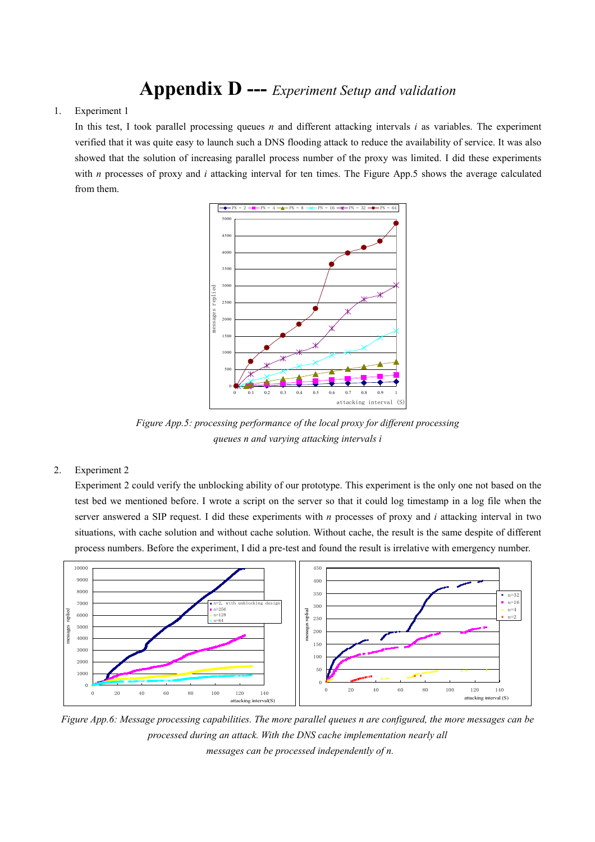## Appendix D --- Experiment Setup and validation

#### 1. Experiment 1

In this test, I took parallel processing queues  $n$  and different attacking intervals  $i$  as variables. The experiment verified that it was quite easy to launch such a DNS flooding attack to reduce the availability of service. It was also showed that the solution of increasing parallel process number of the proxy was limited. I did these experiments with  $n$  processes of proxy and  $i$  attacking interval for ten times. The Figure App.5 shows the average calculated from them.



Figure App.5: processing performance of the local proxy for different processing queues n and varying attacking intervals i

2. Experiment 2

Experiment 2 could verify the unblocking ability of our prototype. This experiment is the only one not based on the test bed we mentioned before. I wrote a script on the server so that it could log timestamp in a log file when the server answered a SIP request. I did these experiments with  $n$  processes of proxy and  $i$  attacking interval in two situations, with cache solution and without cache solution. Without cache, the result is the same despite of different process numbers. Before the experiment, I did a pre-test and found the result is irrelative with emergency number.



Figure App.6: Message processing capabilities. The more parallel queues n are configured, the more messages can be processed during an attack. With the DNS cache implementation nearly all messages can be processed independently of n.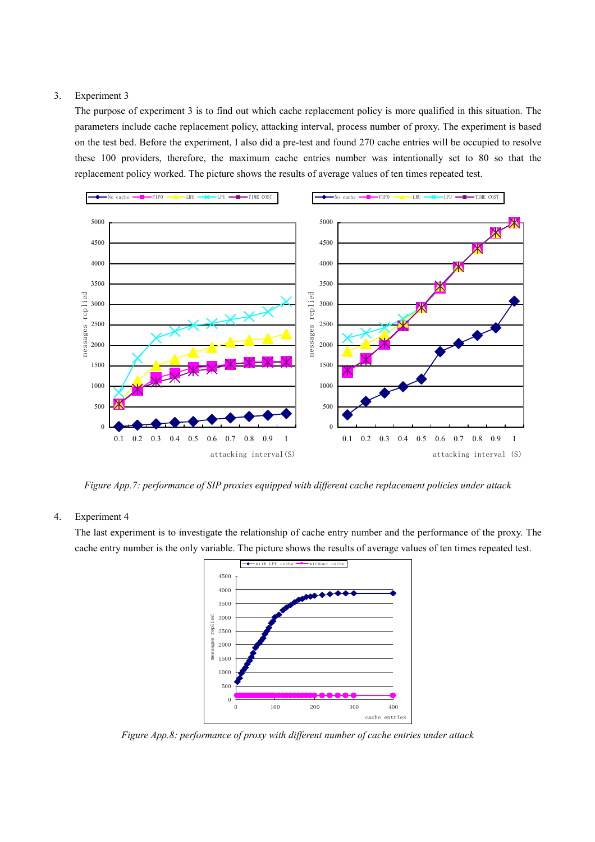#### 3. Experiment 3

The purpose of experiment 3 is to find out which cache replacement policy is more qualified in this situation. The parameters include cache replacement policy, attacking interval, process number of proxy. The experiment is based on the test bed. Before the experiment, I also did a pre-test and found 270 cache entries will be occupied to resolve these 100 providers, therefore, the maximum cache entries number was intentionally set to 80 so that the replacement policy worked. The picture shows the results of average values of ten times repeated test.



Figure App.7: performance of SIP proxies equipped with different cache replacement policies under attack

#### 4. Experiment 4

The last experiment is to investigate the relationship of cache entry number and the performance of the proxy. The cache entry number is the only variable. The picture shows the results of average values of ten times repeated test.



Figure App.8: performance of proxy with different number of cache entries under attack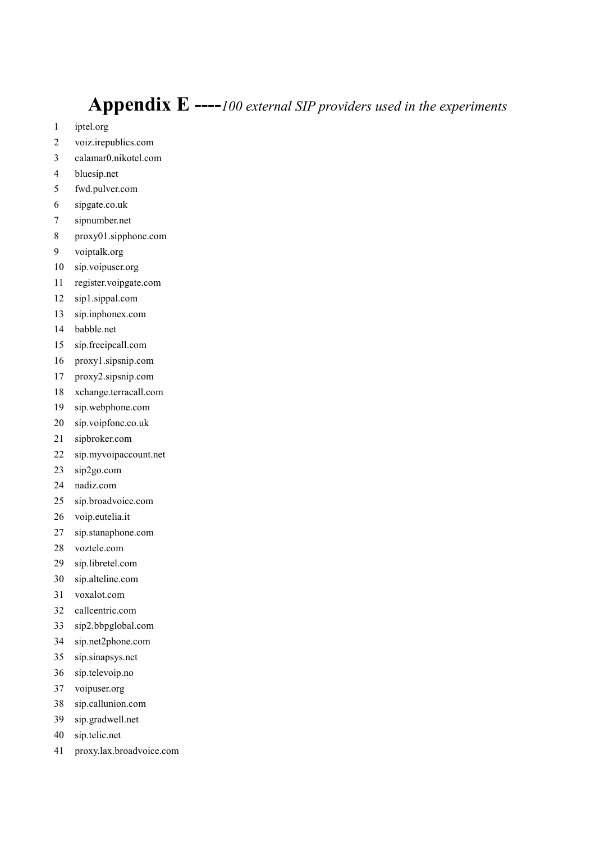### Appendix  $E$  ----100 external SIP providers used in the experiments

- 1 iptel.org
- 2 voiz.irepublics.com
- 3 calamar0.nikotel.com
- 4 bluesip.net
- 5 fwd.pulver.com
- 6 sipgate.co.uk
- 7 sipnumber.net
- 8 proxy01.sipphone.com
- 9 voiptalk.org
- 10 sip.voipuser.org
- 11 register.voipgate.com
- 12 sip1.sippal.com
- 13 sip.inphonex.com
- 14 babble.net
- 15 sip.freeipcall.com
- 16 proxy1.sipsnip.com
- 17 proxy2.sipsnip.com
- 18 xchange.terracall.com
- 19 sip.webphone.com
- 20 sip.voipfone.co.uk
- 21 sipbroker.com
- 22 sip.myvoipaccount.net
- 23 sip2go.com
- 24 nadiz.com
- 25 sip.broadvoice.com
- 26 voip.eutelia.it
- 27 sip.stanaphone.com
- 28 voztele.com
- 29 sip.libretel.com
- 30 sip.alteline.com
- 31 voxalot.com
- 32 callcentric.com
- 33 sip2.bbpglobal.com
- 34 sip.net2phone.com
- 35 sip.sinapsys.net
- 36 sip.televoip.no
- 37 voipuser.org
- 38 sip.callunion.com
- 39 sip.gradwell.net
- 40 sip.telic.net
- 41 proxy.lax.broadvoice.com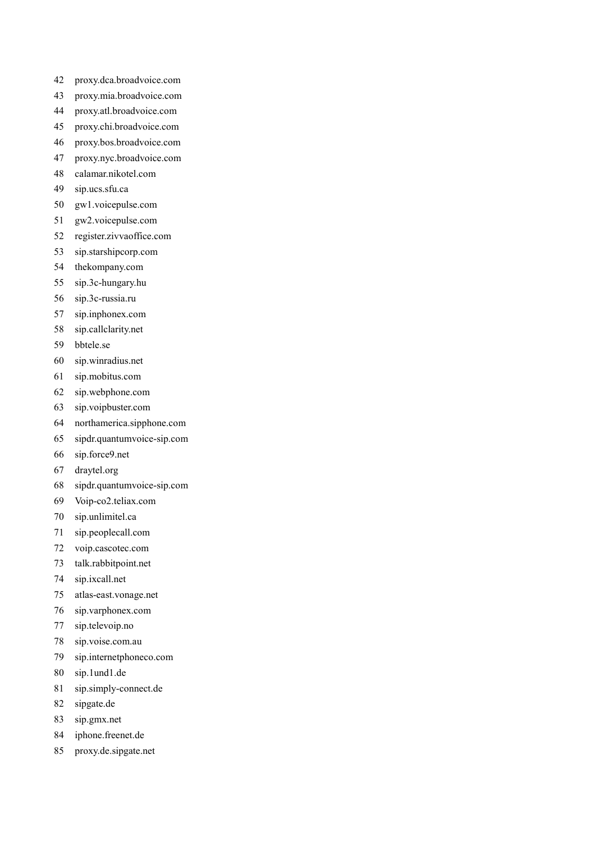- 42 proxy.dca.broadvoice.com
- 43 proxy.mia.broadvoice.com
- 44 proxy.atl.broadvoice.com
- 45 proxy.chi.broadvoice.com
- 46 proxy.bos.broadvoice.com
- 47 proxy.nyc.broadvoice.com
- 48 calamar.nikotel.com
- 49 sip.ucs.sfu.ca
- 50 gw1.voicepulse.com
- 51 gw2.voicepulse.com
- 52 register.zivvaoffice.com
- 53 sip.starshipcorp.com
- 54 thekompany.com
- 55 sip.3c-hungary.hu
- 56 sip.3c-russia.ru
- 57 sip.inphonex.com
- 58 sip.callclarity.net
- 59 bbtele.se
- 60 sip.winradius.net
- 61 sip.mobitus.com
- 62 sip.webphone.com
- 63 sip.voipbuster.com
- 64 northamerica.sipphone.com
- 65 sipdr.quantumvoice-sip.com
- 66 sip.force9.net
- 67 draytel.org
- 68 sipdr.quantumvoice-sip.com
- 69 Voip-co2.teliax.com
- 70 sip.unlimitel.ca
- 71 sip.peoplecall.com
- 72 voip.cascotec.com
- 73 talk.rabbitpoint.net
- 74 sip.ixcall.net
- 75 atlas-east.vonage.net
- 76 sip.varphonex.com
- 77 sip.televoip.no
- 78 sip.voise.com.au
- 79 sip.internetphoneco.com
- 80 sip.1und1.de
- 81 sip.simply-connect.de
- 82 sipgate.de
- 83 sip.gmx.net
- 84 iphone.freenet.de
- 85 proxy.de.sipgate.net